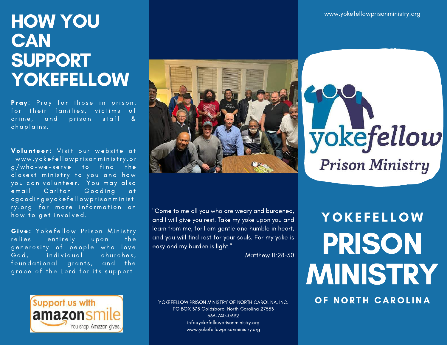## HOW YOU **CAN** SUPPORT **YOKEFELLOW**

Pray: Pray for those in prison, for their families, victims of crime, and prison staff &  $\overline{\overline{\text{ch}}\text{a}}$  plains.

Volunteer: Visit our website at www.yokefellowprisonministry.or g/who-we-serve to find the closest ministry to you and how you can volunteer. You may also email Carlton Gooding at c g o o d i n g @ y o k e f e l l o w p r i s o n m i n i s t ry.org for more information on how to get involved.

Give: Yokefellow Prison Ministry relies entirely upon the generosity of people who love God, individual churches, foundational grants, and the grace of the Lord for its support



"Come to me all you who are weary and burdened, and I will give you rest. Take my yoke upon you and learn from me, for I am gentle and humble in heart, and you will find rest for your souls. For my yoke is easy and my burden is light."

Matthew 11:28-30



YOKEFELLOW PRISON MINISTRY OF NORTH CAROLINA, INC. PO BOX 375 Goldsboro, North Carolina 27533 336-740-0392 info@yokefellowprisonministry.org www.yokefellowprisonministry.org

# yokefellow **Prison Ministry**

PRISON MINISTRY **YOKEFELLOW** 

OF NORTH CAROLINA